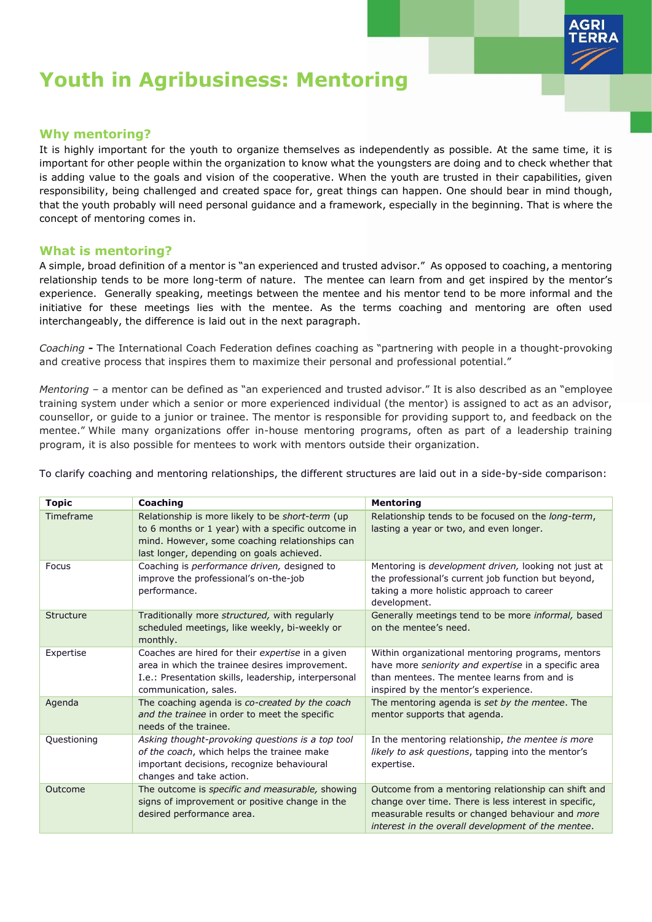

# **Youth in Agribusiness: Mentoring**

# **Why mentoring?**

It is highly important for the youth to organize themselves as independently as possible. At the same time, it is important for other people within the organization to know what the youngsters are doing and to check whether that is adding value to the goals and vision of the cooperative. When the youth are trusted in their capabilities, given responsibility, being challenged and created space for, great things can happen. One should bear in mind though, that the youth probably will need personal guidance and a framework, especially in the beginning. That is where the concept of mentoring comes in.

## **What is mentoring?**

A simple, broad definition of a mentor is "an experienced and trusted advisor." As opposed to coaching, a mentoring relationship tends to be more long-term of nature. The mentee can learn from and get inspired by the mentor's experience. Generally speaking, meetings between the mentee and his mentor tend to be more informal and the initiative for these meetings lies with the mentee. As the terms coaching and mentoring are often used interchangeably, the difference is laid out in the next paragraph.

*Coaching* **-** The International Coach Federation defines coaching as "partnering with people in a thought-provoking and creative process that inspires them to maximize their personal and professional potential."

*Mentoring* – a mentor can be defined as "an experienced and trusted advisor." It is also described as an "employee training system under which a senior or more experienced individual (the mentor) is assigned to act as an advisor, counsellor, or guide to a junior or trainee. The mentor is responsible for providing support to, and feedback on the mentee." While many organizations offer in-house mentoring programs, often as part of a leadership training program, it is also possible for mentees to work with mentors outside their organization.

To clarify coaching and mentoring relationships, the different structures are laid out in a side-by-side comparison:

| <b>Topic</b> | Coaching                                                                                                                                                                                             | <b>Mentoring</b>                                                                                                                                                                                                       |  |  |
|--------------|------------------------------------------------------------------------------------------------------------------------------------------------------------------------------------------------------|------------------------------------------------------------------------------------------------------------------------------------------------------------------------------------------------------------------------|--|--|
| Timeframe    | Relationship is more likely to be short-term (up<br>to 6 months or 1 year) with a specific outcome in<br>mind. However, some coaching relationships can<br>last longer, depending on goals achieved. | Relationship tends to be focused on the long-term,<br>lasting a year or two, and even longer.                                                                                                                          |  |  |
| Focus        | Coaching is performance driven, designed to<br>improve the professional's on-the-job<br>performance.                                                                                                 | Mentoring is development driven, looking not just at<br>the professional's current job function but beyond,<br>taking a more holistic approach to career<br>development.                                               |  |  |
| Structure    | Traditionally more structured, with regularly<br>scheduled meetings, like weekly, bi-weekly or<br>monthly.                                                                                           | Generally meetings tend to be more informal, based<br>on the mentee's need.                                                                                                                                            |  |  |
| Expertise    | Coaches are hired for their expertise in a given<br>area in which the trainee desires improvement.<br>I.e.: Presentation skills, leadership, interpersonal<br>communication, sales.                  | Within organizational mentoring programs, mentors<br>have more seniority and expertise in a specific area<br>than mentees. The mentee learns from and is<br>inspired by the mentor's experience.                       |  |  |
| Agenda       | The coaching agenda is co-created by the coach<br>and the trainee in order to meet the specific<br>needs of the trainee.                                                                             | The mentoring agenda is set by the mentee. The<br>mentor supports that agenda.                                                                                                                                         |  |  |
| Questioning  | Asking thought-provoking questions is a top tool<br>of the coach, which helps the trainee make<br>important decisions, recognize behavioural<br>changes and take action.                             | In the mentoring relationship, the mentee is more<br>likely to ask questions, tapping into the mentor's<br>expertise.                                                                                                  |  |  |
| Outcome      | The outcome is specific and measurable, showing<br>signs of improvement or positive change in the<br>desired performance area.                                                                       | Outcome from a mentoring relationship can shift and<br>change over time. There is less interest in specific,<br>measurable results or changed behaviour and more<br>interest in the overall development of the mentee. |  |  |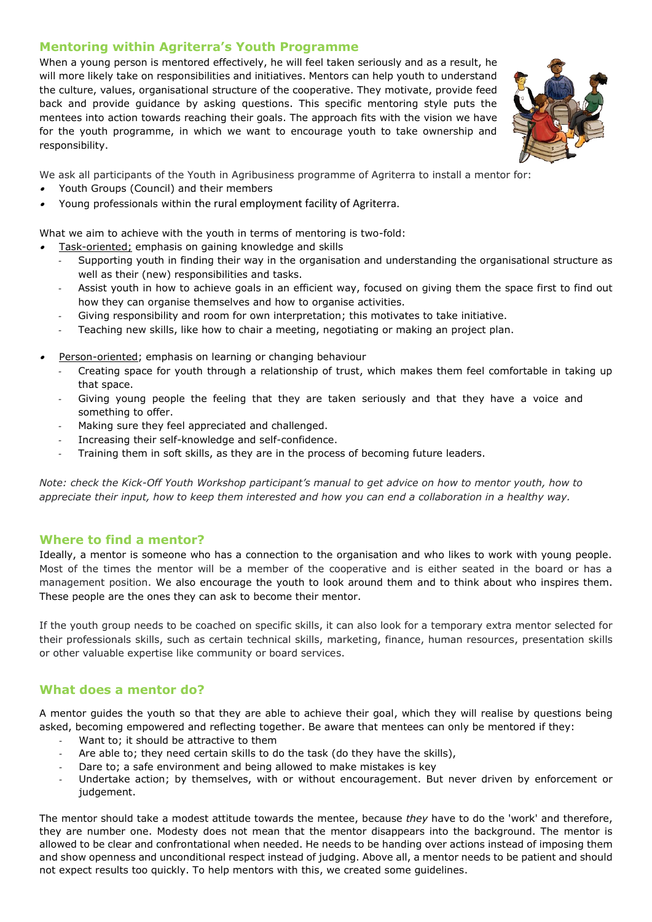# **Mentoring within Agriterra's Youth Programme**

When a young person is mentored effectively, he will feel taken seriously and as a result, he will more likely take on responsibilities and initiatives. Mentors can help youth to understand the culture, values, organisational structure of the cooperative. They motivate, provide feed back and provide guidance by asking questions. This specific mentoring style puts the mentees into action towards reaching their goals. The approach fits with the vision we have for the youth programme, in which we want to encourage youth to take ownership and responsibility.



We ask all participants of the Youth in Agribusiness programme of Agriterra to install a mentor for:

•Youth Groups (Council) and their members

•

•Young professionals within the rural employment facility of Agriterra.

What we aim to achieve with the youth in terms of mentoring is two-fold:

- Task-oriented; emphasis on gaining knowledge and skills
	- *-* Supporting youth in finding their way in the organisation and understanding the organisational structure as well as their (new) responsibilities and tasks.
	- *-* Assist youth in how to achieve goals in an efficient way, focused on giving them the space first to find out how they can organise themselves and how to organise activities.
	- *-* Giving responsibility and room for own interpretation; this motivates to take initiative.
	- *-* Teaching new skills, like how to chair a meeting, negotiating or making an project plan.
- • Person-oriented; emphasis on learning or changing behaviour
	- *-* Creating space for youth through a relationship of trust, which makes them feel comfortable in taking up that space.
	- Giving young people the feeling that they are taken seriously and that they have a voice and something to offer.
	- *-* Making sure they feel appreciated and challenged.
	- *-* Increasing their self-knowledge and self-confidence.
	- *-* Training them in soft skills, as they are in the process of becoming future leaders.

*Note: check the Kick-Off Youth Workshop participant's manual to get advice on how to mentor youth, how to appreciate their input, how to keep them interested and how you can end a collaboration in a healthy way.*

# **Where to find a mentor?**

Ideally, a mentor is someone who has a connection to the organisation and who likes to work with young people. Most of the times the mentor will be a member of the cooperative and is either seated in the board or has a management position. We also encourage the youth to look around them and to think about who inspires them. These people are the ones they can ask to become their mentor.

If the youth group needs to be coached on specific skills, it can also look for a temporary extra mentor selected for their professionals skills, such as certain technical skills, marketing, finance, human resources, presentation skills or other valuable expertise like community or board services.

# **What does a mentor do?**

A mentor guides the youth so that they are able to achieve their goal, which they will realise by questions being asked, becoming empowered and reflecting together. Be aware that mentees can only be mentored if they:

- Want to; it should be attractive to them
- *-* Are able to; they need certain skills to do the task (do they have the skills),
- *-* Dare to; a safe environment and being allowed to make mistakes is key
- Undertake action; by themselves, with or without encouragement. But never driven by enforcement or judgement.

The mentor should take a modest attitude towards the mentee, because *they* have to do the 'work' and therefore, they are number one. Modesty does not mean that the mentor disappears into the background. The mentor is allowed to be clear and confrontational when needed. He needs to be handing over actions instead of imposing them and show openness and unconditional respect instead of judging. Above all, a mentor needs to be patient and should not expect results too quickly. To help mentors with this, we created some guidelines.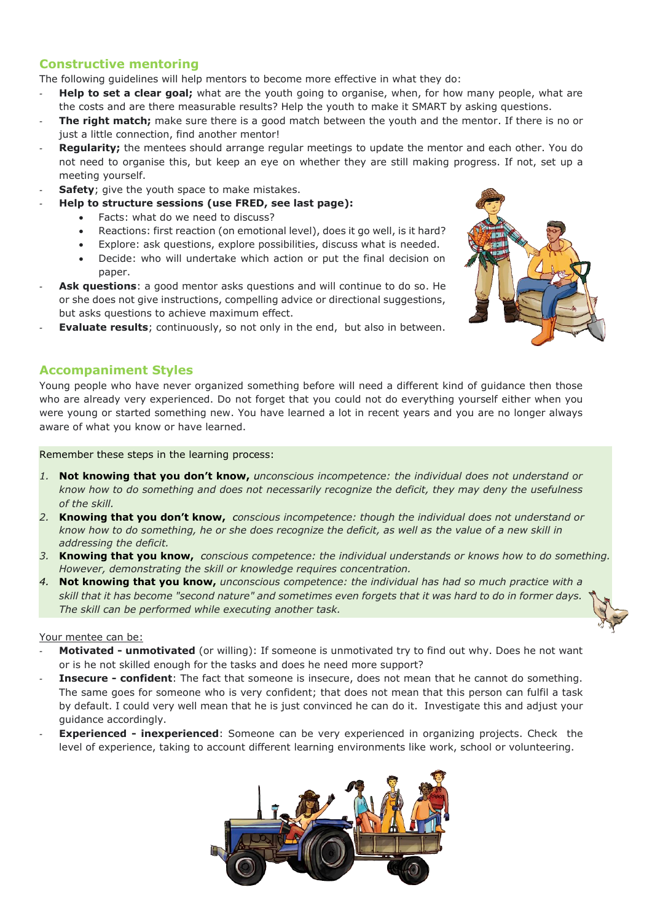# **Constructive mentoring**

The following guidelines will help mentors to become more effective in what they do:

- *-* **Help to set a clear goal;** what are the youth going to organise, when, for how many people, what are the costs and are there measurable results? Help the youth to make it SMART by asking questions.
- **The right match;** make sure there is a good match between the youth and the mentor. If there is no or just a little connection, find another mentor!
- **Regularity;** the mentees should arrange regular meetings to update the mentor and each other. You do not need to organise this, but keep an eye on whether they are still making progress. If not, set up a meeting yourself.
- **Safety**; give the youth space to make mistakes.
- *-* **Help to structure sessions (use FRED, see last page):**
	- Facts: what do we need to discuss?
	- Reactions: first reaction (on emotional level), does it go well, is it hard?
	- Explore: ask questions, explore possibilities, discuss what is needed.
	- Decide: who will undertake which action or put the final decision on paper.
- Ask questions: a good mentor asks questions and will continue to do so. He or she does not give instructions, compelling advice or directional suggestions, but asks questions to achieve maximum effect.
- **Evaluate results**; continuously, so not only in the end, but also in between.

# **Accompaniment Styles**

Young people who have never organized something before will need a different kind of guidance then those who are already very experienced. Do not forget that you could not do everything yourself either when you were young or started something new. You have learned a lot in recent years and you are no longer always aware of what you know or have learned.

#### Remember these steps in the learning process:

- *1.* **Not knowing that you don't know,** *unconscious incompetence: the individual does not understand or know how to do something and does not necessarily recognize the deficit, they may deny the usefulness of the skill.*
- *2.* **Knowing that you don't know,** *conscious incompetence: though the individual does not understand or know how to do something, he or she does recognize the deficit, as well as the value of a new skill in addressing the deficit.*
- *3.* **Knowing that you know,** *conscious competence: the individual understands or knows how to do something. However, demonstrating the skill or knowledge requires concentration.*
- *4.* **Not knowing that you know,** *unconscious competence: the individual has had so much practice with a skill that it has become "second nature" and sometimes even forgets that it was hard to do in former days. The skill can be performed while executing another task.*

#### Your mentee can be:

- *-* **Motivated - unmotivated** (or willing): If someone is unmotivated try to find out why. Does he not want or is he not skilled enough for the tasks and does he need more support?
- *-* **Insecure - confident**: The fact that someone is insecure, does not mean that he cannot do something. The same goes for someone who is very confident; that does not mean that this person can fulfil a task by default. I could very well mean that he is just convinced he can do it. Investigate this and adjust your guidance accordingly.
- **Experienced inexperienced**: Someone can be very experienced in organizing projects. Check the level of experience, taking to account different learning environments like work, school or volunteering.



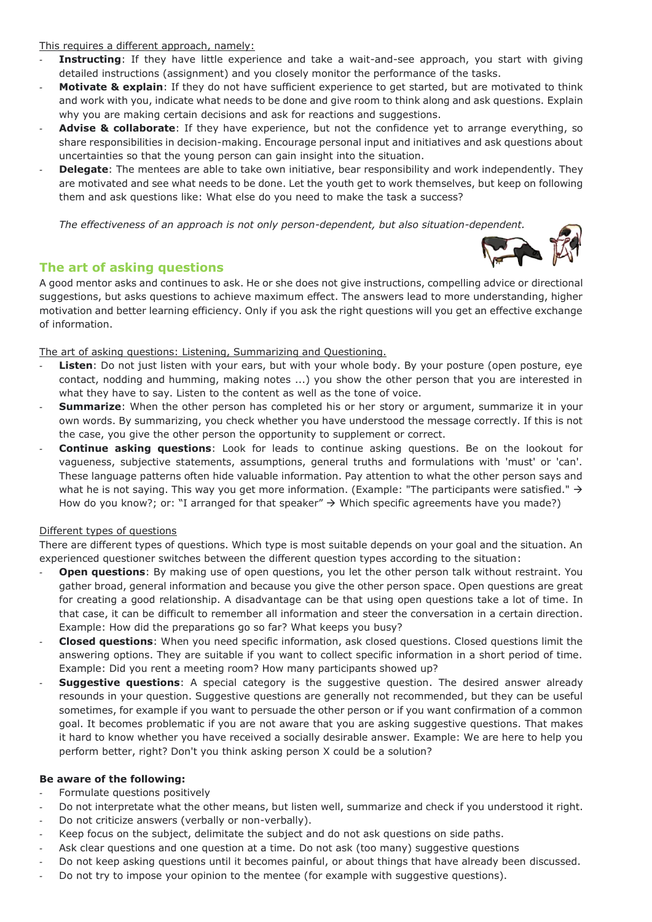This requires a different approach, namely:

- **Instructing**: If they have little experience and take a wait-and-see approach, you start with giving detailed instructions (assignment) and you closely monitor the performance of the tasks.
- *-* **Motivate & explain**: If they do not have sufficient experience to get started, but are motivated to think and work with you, indicate what needs to be done and give room to think along and ask questions. Explain why you are making certain decisions and ask for reactions and suggestions.
- *-* **Advise & collaborate**: If they have experience, but not the confidence yet to arrange everything, so share responsibilities in decision-making. Encourage personal input and initiatives and ask questions about uncertainties so that the young person can gain insight into the situation.
- *-* **Delegate**: The mentees are able to take own initiative, bear responsibility and work independently. They are motivated and see what needs to be done. Let the youth get to work themselves, but keep on following them and ask questions like: What else do you need to make the task a success?

*The effectiveness of an approach is not only person-dependent, but also situation-dependent.*

# **The art of asking questions**

A good mentor asks and continues to ask. He or she does not give instructions, compelling advice or directional suggestions, but asks questions to achieve maximum effect. The answers lead to more understanding, higher motivation and better learning efficiency. Only if you ask the right questions will you get an effective exchange of information.

### The art of asking questions: Listening, Summarizing and Questioning.

- *-* **Listen**: Do not just listen with your ears, but with your whole body. By your posture (open posture, eye contact, nodding and humming, making notes ...) you show the other person that you are interested in what they have to say. Listen to the content as well as the tone of voice.
- **Summarize**: When the other person has completed his or her story or argument, summarize it in your own words. By summarizing, you check whether you have understood the message correctly. If this is not the case, you give the other person the opportunity to supplement or correct.
- *-* **Continue asking questions**: Look for leads to continue asking questions. Be on the lookout for vagueness, subjective statements, assumptions, general truths and formulations with 'must' or 'can'. These language patterns often hide valuable information. Pay attention to what the other person says and what he is not saying. This way you get more information. (Example: "The participants were satisfied." → How do you know?; or: "I arranged for that speaker"  $\rightarrow$  Which specific agreements have you made?)

### Different types of questions

There are different types of questions. Which type is most suitable depends on your goal and the situation. An experienced questioner switches between the different question types according to the situation:

- **Open questions**: By making use of open questions, you let the other person talk without restraint. You gather broad, general information and because you give the other person space. Open questions are great for creating a good relationship. A disadvantage can be that using open questions take a lot of time. In that case, it can be difficult to remember all information and steer the conversation in a certain direction. Example: How did the preparations go so far? What keeps you busy?
- *-* **Closed questions**: When you need specific information, ask closed questions. Closed questions limit the answering options. They are suitable if you want to collect specific information in a short period of time. Example: Did you rent a meeting room? How many participants showed up?
- **Suggestive questions:** A special category is the suggestive question. The desired answer already resounds in your question. Suggestive questions are generally not recommended, but they can be useful sometimes, for example if you want to persuade the other person or if you want confirmation of a common goal. It becomes problematic if you are not aware that you are asking suggestive questions. That makes it hard to know whether you have received a socially desirable answer. Example: We are here to help you perform better, right? Don't you think asking person X could be a solution?

### **Be aware of the following:**

- *-* Formulate questions positively
- *-* Do not interpretate what the other means, but listen well, summarize and check if you understood it right.
- *-* Do not criticize answers (verbally or non-verbally).
- *-* Keep focus on the subject, delimitate the subject and do not ask questions on side paths.
- *-* Ask clear questions and one question at a time. Do not ask (too many) suggestive questions
- *-* Do not keep asking questions until it becomes painful, or about things that have already been discussed.
- *-* Do not try to impose your opinion to the mentee (for example with suggestive questions).